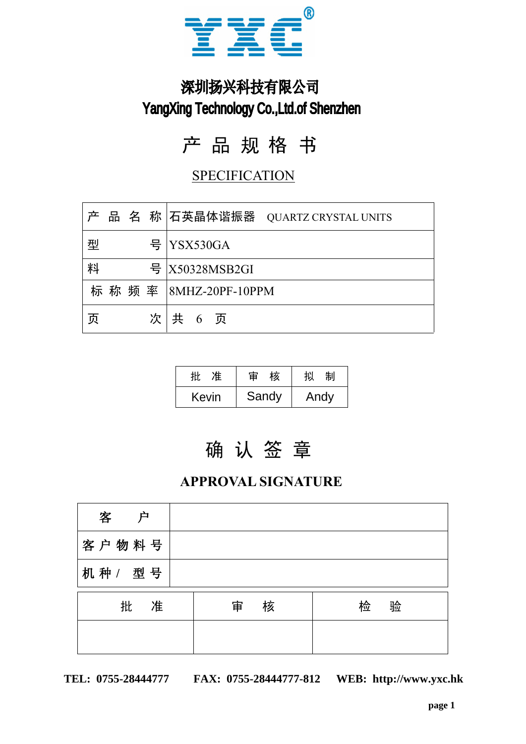

# 深圳扬兴科技有限公司 YangXing Technology Co.,Ltd.of Shenzhen

# 产 品 规 格 书

### **SPECIFICATION**

|                                                               | $\circledR$<br>YX                |  |  |  |  |
|---------------------------------------------------------------|----------------------------------|--|--|--|--|
| 深圳扬兴科技有限公司<br><b>YangXing Technology Co., Ltd.of Shenzhen</b> |                                  |  |  |  |  |
|                                                               | 产 品 规 格 书                        |  |  |  |  |
| <b>SPECIFICATION</b>                                          |                                  |  |  |  |  |
| 产                                                             | 品名称 石英晶体谐振器 QUARTZ CRYSTAL UNITS |  |  |  |  |
| 뮥<br>型                                                        | YSX530GA                         |  |  |  |  |
| 料<br>뮥                                                        | X50328MSB2GI                     |  |  |  |  |
| 标 称 频 率                                                       | $ 8MHz-20PF-10PPM$               |  |  |  |  |
| 页                                                             | 次   共 6 页                        |  |  |  |  |
|                                                               |                                  |  |  |  |  |

| 准<br>批 | 审 核 」                | 拟<br>制 |
|--------|----------------------|--------|
|        | Kevin   Sandy   Andy |        |

### **APPROVAL SIGNATURE**

|        | 准<br>批 | 审<br>核                    | 拟<br>制 |   |   |
|--------|--------|---------------------------|--------|---|---|
|        | Kevin  | Sandy                     | Andy   |   |   |
|        |        |                           |        |   |   |
|        |        | 确认签章                      |        |   |   |
|        |        | <b>APPROVAL SIGNATURE</b> |        |   |   |
|        |        |                           |        |   |   |
| 客<br>户 |        |                           |        |   |   |
| 客户物料号  |        |                           |        |   |   |
| 机种/型号  |        |                           |        |   |   |
| 准<br>批 |        | 核<br>审                    |        | 检 | 验 |
|        |        |                           |        |   |   |
|        |        |                           |        |   |   |

**WEB: http://www.yxc.hk TEL: 0755-28444777 FAX: 0755-28444777-812**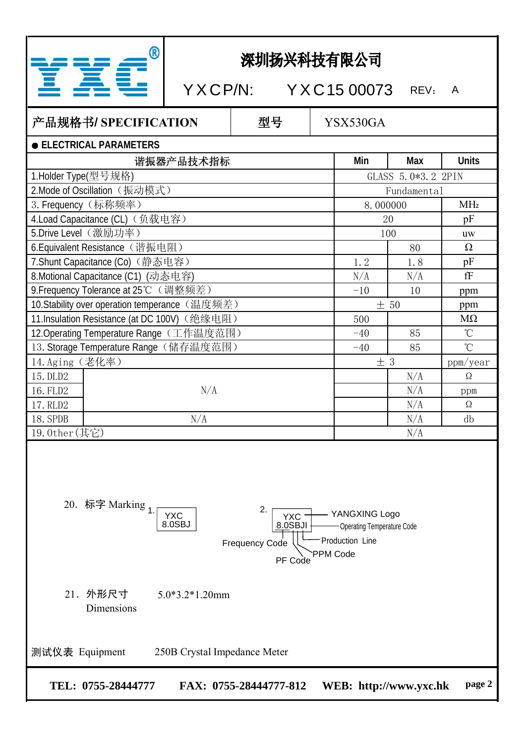|  | P |  |
|--|---|--|
|  |   |  |

## 深圳扬兴科技有限公司

X C P/N: Y X C 15 00073 REV: A

## 产品规格书**/ SPECIFICATION** 型号

YSX530GA

|  | <b>ELECTRICAL PARAMETERS</b> |
|--|------------------------------|
|  |                              |

| 谐振器产品技术指标                                                                                                                  | Min                | Max         | <b>Units</b> |  |  |
|----------------------------------------------------------------------------------------------------------------------------|--------------------|-------------|--------------|--|--|
| 1.Holder Type(型号规格)                                                                                                        | GLASS 5.0*3.2 2PIN |             |              |  |  |
| 2.Mode of Oscillation (振动模式)                                                                                               |                    | Fundamental |              |  |  |
| 3. Frequency (标称频率)                                                                                                        | 8.000000           |             | <b>MHz</b>   |  |  |
| 4.Load Capacitance (CL) (负载电容)                                                                                             | 20                 |             | pF           |  |  |
| 5.Drive Level (激励功率)                                                                                                       | 100                |             | <b>uw</b>    |  |  |
| 6. Equivalent Resistance (谐振电阻)                                                                                            |                    | 80          | $\Omega$     |  |  |
| 7. Shunt Capacitance (Co) (静态电容)                                                                                           | 1.2                | 1.8         | pF           |  |  |
| 8. Motional Capacitance (C1) (动态电容)                                                                                        | N/A                | N/A         | fF           |  |  |
| 9. Frequency Tolerance at 25℃ (调整频差)                                                                                       | $-10$              | 10          | ppm          |  |  |
| 10. Stability over operation temperance (温度频差)                                                                             | ± 50               |             | ppm          |  |  |
| 11.Insulation Resistance (at DC 100V) (绝缘电阻)                                                                               | 500                |             | $M\Omega$    |  |  |
| 12. Operating Temperature Range (工作温度范围)                                                                                   | $-40$              | 85          | $\mathrm{C}$ |  |  |
| 13. Storage Temperature Range (储存温度范围)                                                                                     | $-40$              | 85          | $\mathrm{C}$ |  |  |
| 14. Aging (老化率)                                                                                                            | ±3                 |             | ppm/year     |  |  |
| 15. DLD2                                                                                                                   |                    | N/A         | $\Omega$     |  |  |
| N/A<br>16. FLD2                                                                                                            |                    | N/A         | ppm          |  |  |
| 17. RLD2                                                                                                                   |                    | N/A         | $\Omega$     |  |  |
| 18. SPDB<br>N/A                                                                                                            |                    | N/A         | db           |  |  |
| 19.0ther(其它)                                                                                                               |                    | N/A         |              |  |  |
| 20. 标字 Marking 1.<br>2.<br>- YANGXING Logo<br><b>YXC</b><br>YXC-<br>Operating Temperature Code<br>8.0SBJ<br>$8.0$ SBJI $+$ |                    |             |              |  |  |



### 21.外形尺寸 5.0\*3.2\*1.20mm Dimensions

测试仪表 Equipment 250B Crystal Impedance Meter

**page 2 TEL: 0755-28444777 FAX: 0755-28444777-812 WEB: http://www.yxc.hk**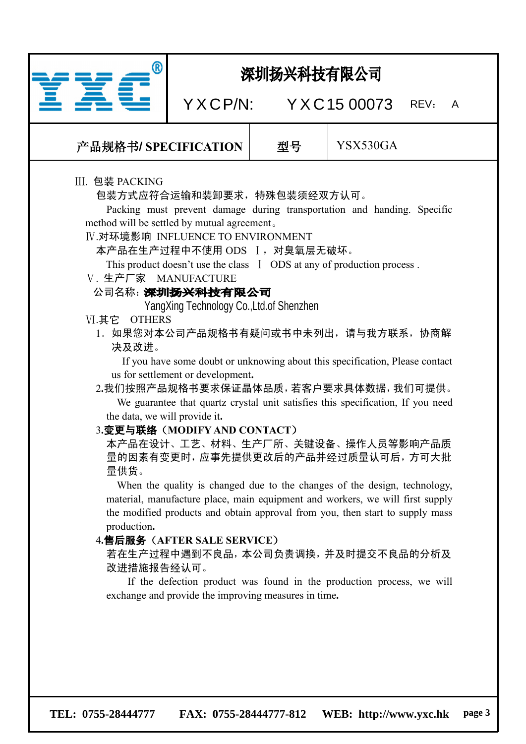

**page 3 TEL: 0755-28444777 FAX: 0755-28444777-812 WEB: http://www.yxc.hk**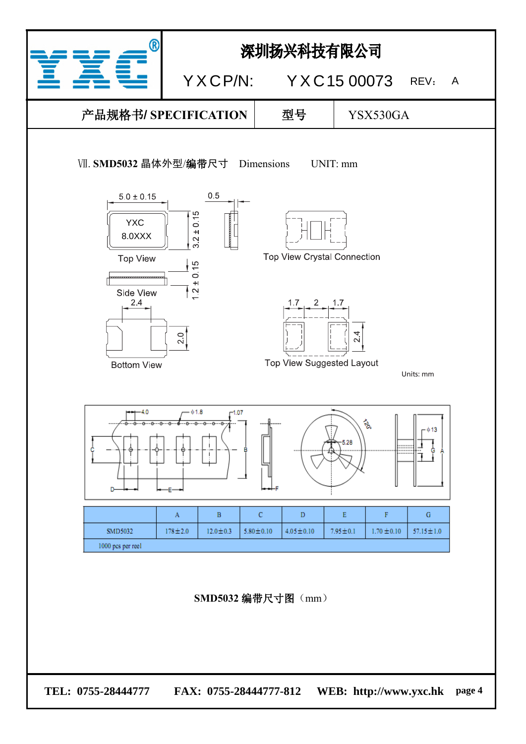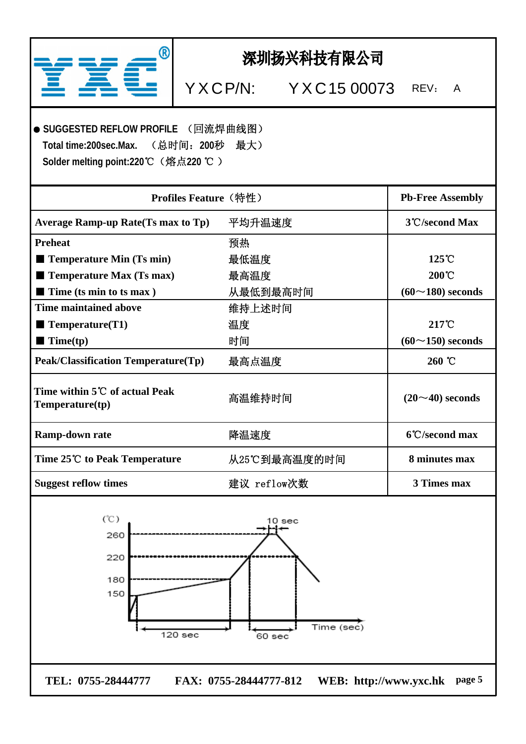| ®                                                                                                                                              | 深圳扬兴科技有限公司                     |                                                          |
|------------------------------------------------------------------------------------------------------------------------------------------------|--------------------------------|----------------------------------------------------------|
|                                                                                                                                                | YXCP/N: YXC15 00073            | REV:<br>A                                                |
| ● SUGGESTED REFLOW PROFILE (回流焊曲线图)<br>Total time: 200sec. Max.<br>Solder melting point:220℃ (熔点220 ℃)                                         | (总时间:200秒 最大)                  |                                                          |
|                                                                                                                                                | <b>Profiles Feature (特性)</b>   | <b>Pb-Free Assembly</b>                                  |
| <b>Average Ramp-up Rate(Ts max to Tp)</b>                                                                                                      | 平均升温速度                         | 3°C/second Max                                           |
| <b>Preheat</b><br>$\blacksquare$ Temperature Min (Ts min)<br>$\blacksquare$ Temperature Max (Ts max)<br>$\blacksquare$ Time (ts min to ts max) | 预热<br>最低温度<br>最高温度<br>从最低到最高时间 | $125^{\circ}$ C<br>$200^{\circ}$ C<br>$(60~180)$ seconds |
| <b>Time maintained above</b><br>$\blacksquare$ Temperature(T1)<br>$\blacksquare$ Time(tp)                                                      | 维持上述时间<br>温度<br>时间             | 217°C<br>$(60~150)$ seconds                              |
| <b>Peak/Classification Temperature(Tp)</b>                                                                                                     | 最高点温度                          | 260 °C                                                   |
| Time within 5℃ of actual Peak<br>Temperature(tp)                                                                                               | 高温维持时间                         | $(20 \sim 40)$ seconds                                   |
| Ramp-down rate                                                                                                                                 | 降温速度                           | 6°C/second max                                           |
| Time 25℃ to Peak Temperature                                                                                                                   | 从25℃到最高温度的时间                   | 8 minutes max                                            |
| <b>Suggest reflow times</b>                                                                                                                    | 建议 reflow次数                    | 3 Times max                                              |
| (°C)<br>260<br>220<br>180<br>150<br>120 sec                                                                                                    | 10 sec<br>Time (sec)<br>60 sec |                                                          |
| TEL: 0755-28444777                                                                                                                             | FAX: 0755-28444777-812         | WEB: http://www.yxc.hk page 5                            |